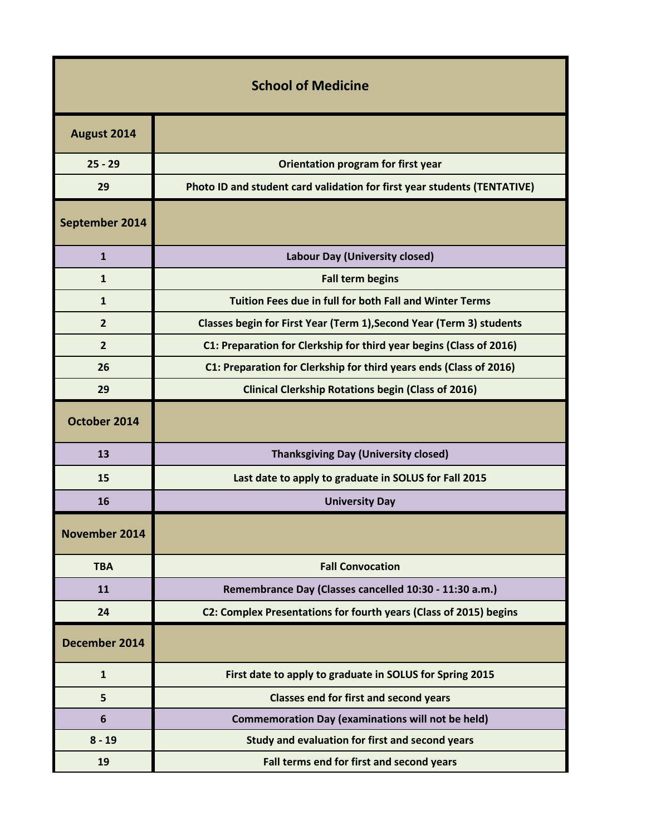| <b>School of Medicine</b> |                                                                          |  |
|---------------------------|--------------------------------------------------------------------------|--|
| August 2014               |                                                                          |  |
| $25 - 29$                 | Orientation program for first year                                       |  |
| 29                        | Photo ID and student card validation for first year students (TENTATIVE) |  |
| September 2014            |                                                                          |  |
| $\mathbf{1}$              | <b>Labour Day (University closed)</b>                                    |  |
| $\mathbf{1}$              | <b>Fall term begins</b>                                                  |  |
| $\mathbf{1}$              | Tuition Fees due in full for both Fall and Winter Terms                  |  |
| $\overline{2}$            | Classes begin for First Year (Term 1), Second Year (Term 3) students     |  |
| $\overline{2}$            | C1: Preparation for Clerkship for third year begins (Class of 2016)      |  |
| 26                        | C1: Preparation for Clerkship for third years ends (Class of 2016)       |  |
| 29                        | <b>Clinical Clerkship Rotations begin (Class of 2016)</b>                |  |
| October 2014              |                                                                          |  |
| 13                        | <b>Thanksgiving Day (University closed)</b>                              |  |
| 15                        | Last date to apply to graduate in SOLUS for Fall 2015                    |  |
| 16                        | <b>University Day</b>                                                    |  |
| November 2014             |                                                                          |  |
| <b>TBA</b>                | <b>Fall Convocation</b>                                                  |  |
| 11                        | Remembrance Day (Classes cancelled 10:30 - 11:30 a.m.)                   |  |
| 24                        | C2: Complex Presentations for fourth years (Class of 2015) begins        |  |
| December 2014             |                                                                          |  |
| $\mathbf{1}$              | First date to apply to graduate in SOLUS for Spring 2015                 |  |
| 5                         | <b>Classes end for first and second years</b>                            |  |
| $6\phantom{1}6$           | <b>Commemoration Day (examinations will not be held)</b>                 |  |
| $8 - 19$                  | Study and evaluation for first and second years                          |  |
| 19                        | Fall terms end for first and second years                                |  |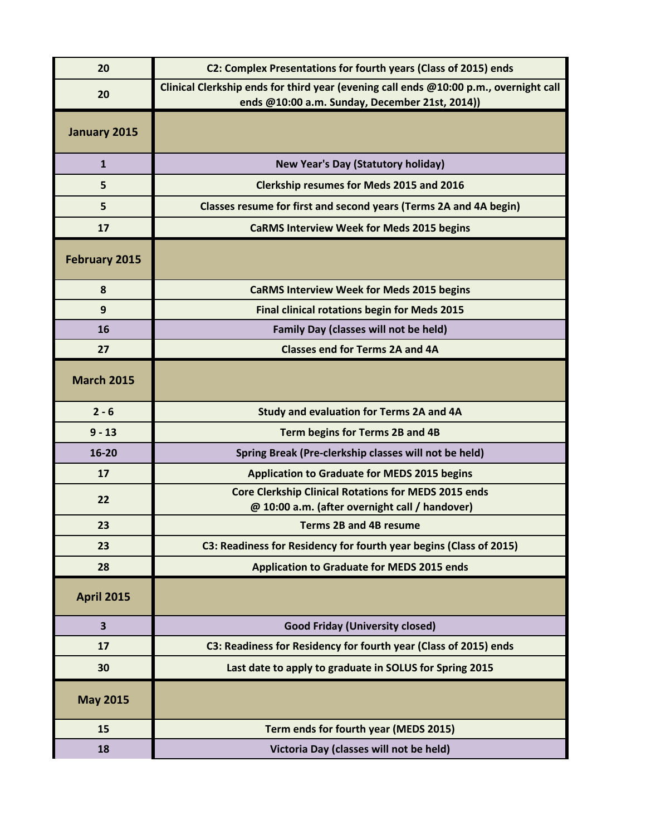| 20                      | C2: Complex Presentations for fourth years (Class of 2015) ends                                                                         |
|-------------------------|-----------------------------------------------------------------------------------------------------------------------------------------|
| 20                      | Clinical Clerkship ends for third year (evening call ends @10:00 p.m., overnight call<br>ends @10:00 a.m. Sunday, December 21st, 2014)) |
| January 2015            |                                                                                                                                         |
| $\mathbf{1}$            | <b>New Year's Day (Statutory holiday)</b>                                                                                               |
| 5                       | <b>Clerkship resumes for Meds 2015 and 2016</b>                                                                                         |
| 5                       | Classes resume for first and second years (Terms 2A and 4A begin)                                                                       |
| 17                      | <b>CaRMS Interview Week for Meds 2015 begins</b>                                                                                        |
| <b>February 2015</b>    |                                                                                                                                         |
| 8                       | <b>CaRMS Interview Week for Meds 2015 begins</b>                                                                                        |
| 9                       | <b>Final clinical rotations begin for Meds 2015</b>                                                                                     |
| 16                      | <b>Family Day (classes will not be held)</b>                                                                                            |
| 27                      | <b>Classes end for Terms 2A and 4A</b>                                                                                                  |
| <b>March 2015</b>       |                                                                                                                                         |
| $2 - 6$                 | <b>Study and evaluation for Terms 2A and 4A</b>                                                                                         |
| $9 - 13$                | Term begins for Terms 2B and 4B                                                                                                         |
| 16-20                   | Spring Break (Pre-clerkship classes will not be held)                                                                                   |
| 17                      | <b>Application to Graduate for MEDS 2015 begins</b>                                                                                     |
| 22                      | <b>Core Clerkship Clinical Rotations for MEDS 2015 ends</b><br>@ 10:00 a.m. (after overnight call / handover)                           |
| 23                      | <b>Terms 2B and 4B resume</b>                                                                                                           |
| 23                      | C3: Readiness for Residency for fourth year begins (Class of 2015)                                                                      |
| 28                      | <b>Application to Graduate for MEDS 2015 ends</b>                                                                                       |
| <b>April 2015</b>       |                                                                                                                                         |
| $\overline{\mathbf{3}}$ | <b>Good Friday (University closed)</b>                                                                                                  |
| 17                      | C3: Readiness for Residency for fourth year (Class of 2015) ends                                                                        |
| 30                      | Last date to apply to graduate in SOLUS for Spring 2015                                                                                 |
| <b>May 2015</b>         |                                                                                                                                         |
| 15                      | Term ends for fourth year (MEDS 2015)                                                                                                   |
| 18                      | Victoria Day (classes will not be held)                                                                                                 |